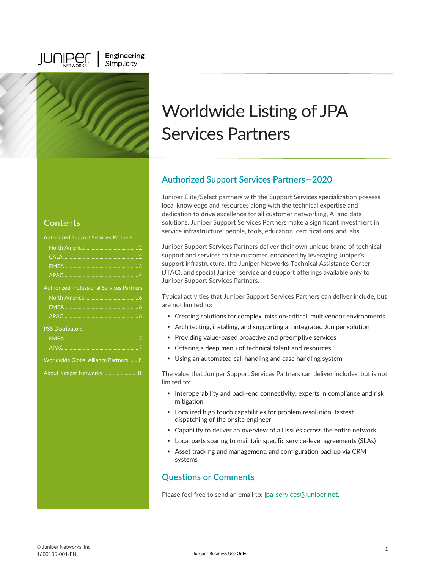**JUNIPE** 

Engineering

Simplicity

### **Contents**

| <b>Authorized Support Services Partners</b>      |
|--------------------------------------------------|
|                                                  |
|                                                  |
|                                                  |
|                                                  |
| <b>Authorized Professional Services Partners</b> |
|                                                  |
|                                                  |
|                                                  |
| <b>PSS Distributors</b>                          |
|                                                  |
|                                                  |
| <b>Worldwide Global Alliance Partners  8</b>     |
| About Juniper Networks  8                        |
|                                                  |
|                                                  |
|                                                  |
|                                                  |
|                                                  |
|                                                  |

# Worldwide Listing of JPA Services Partners

# **Authorized Support Services Partners—2020**

Juniper Elite/Select partners with the Support Services specialization possess local knowledge and resources along with the technical expertise and dedication to drive excellence for all customer networking, AI and data solutions. Juniper Support Services Partners make a significant investment in service infrastructure, people, tools, education, certifications, and labs.

Juniper Support Services Partners deliver their own unique brand of technical support and services to the customer, enhanced by leveraging Juniper's support infrastructure, the Juniper Networks Technical Assistance Center (JTAC), and special Juniper service and support offerings available only to Juniper Support Services Partners.

Typical activities that Juniper Support Services Partners can deliver include, but are not limited to:

- Creating solutions for complex, mission-critical, multivendor environments
- Architecting, installing, and supporting an integrated Juniper solution
- Providing value-based proactive and preemptive services
- Offering a deep menu of technical talent and resources
- Using an automated call handling and case handling system

The value that Juniper Support Services Partners can deliver includes, but is not limited to:

- Interoperability and back-end connectivity; experts in compliance and risk mitigation
- Localized high touch capabilities for problem resolution, fastest dispatching of the onsite engineer
- Capability to deliver an overview of all issues across the entire network
- Local parts sparing to maintain specific service-level agreements (SLAs)
- Asset tracking and management, and configuration backup via CRM systems

## **Questions or Comments**

Please feel free to send an email to: [jpa-services@juniper.net](mailto:jpa-services@juniper.net)**.**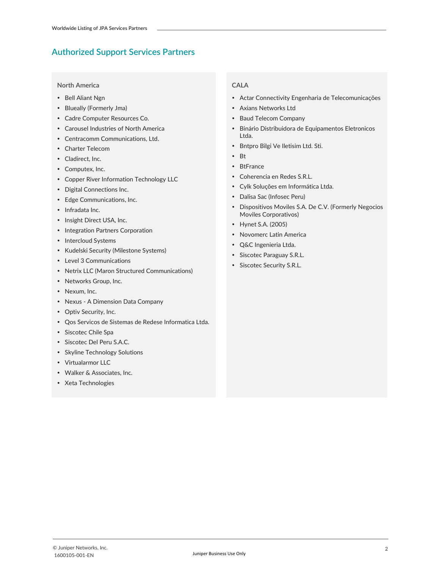#### **North America**

- Bell Aliant Ngn
- Blueally (Formerly Jma)
- Cadre Computer Resources Co.
- Carousel Industries of North America
- Centracomm Communications, Ltd.
- Charter Telecom
- Cladirect, Inc.
- Computex, Inc.
- Copper River Information Technology LLC
- Digital Connections Inc.
- Edge Communications, Inc.
- Infradata Inc.
- Insight Direct USA, Inc.
- Integration Partners Corporation
- Intercloud Systems
- Kudelski Security (Milestone Systems)
- Level 3 Communications
- Netrix LLC (Maron Structured Communications)
- Networks Group, Inc.
- Nexum, Inc.
- Nexus A Dimension Data Company
- Optiv Security, Inc.
- Qos Servicos de Sistemas de Redese Informatica Ltda.
- Siscotec Chile Spa
- Siscotec Del Peru S.A.C.
- Skyline Technology Solutions
- Virtualarmor LLC
- Walker & Associates, Inc.
- Xeta Technologies

### **CALA**

- Actar Connectivity Engenharia de Telecomunicações
- Axians Networks Ltd
- Baud Telecom Company
- Binário Distribuidora de Equipamentos Eletronicos Ltda.
- Bntpro Bilgi Ve Iletisim Ltd. Sti.
- $\bullet$  Rt
- BtFrance
- Coherencia en Redes S.R.L.
- Cylk Soluções em Informática Ltda.
- Dalisa Sac (Infosec Peru)
- Dispositivos Moviles S.A. De C.V. (Formerly Negocios Moviles Corporativos)
- Hynet S.A. (2005)
- Novomerc Latin America
- Q&C Ingenieria Ltda.
- Siscotec Paraguay S.R.L.
- Siscotec Security S.R.L.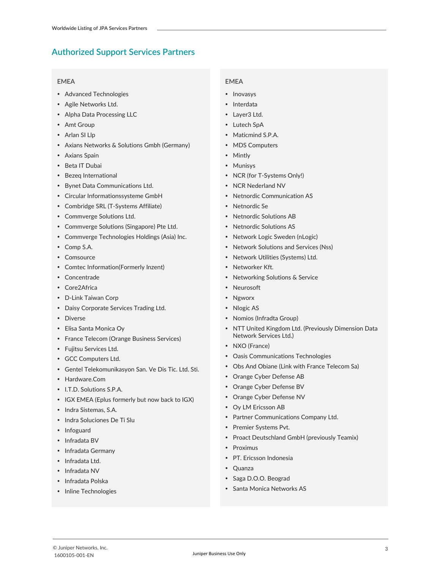#### **EMEA**

- Advanced Technologies
- Agile Networks Ltd.
- Alpha Data Processing LLC
- Amt Group
- Arlan SI Llp
- Axians Networks & Solutions Gmbh (Germany)
- Axians Spain
- Beta IT Dubai
- Bezeq International
- Bynet Data Communications Ltd.
- Circular Informationssysteme GmbH
- Combridge SRL (T-Systems Affiliate)
- Commverge Solutions Ltd.
- Commverge Solutions (Singapore) Pte Ltd.
- Commverge Technologies Holdings (Asia) Inc.
- Comp S.A.
- Comsource
- Comtec Information(Formerly Inzent)
- Concentrade
- Core2Africa
- D-Link Taiwan Corp
- Daisy Corporate Services Trading Ltd.
- Diverse
- Elisa Santa Monica Oy
- France Telecom (Orange Business Services)
- Fujitsu Services Ltd.
- GCC Computers Ltd.
- Gentel Telekomunikasyon San. Ve Dis Tic. Ltd. Sti.
- Hardware.Com
- I.T.D. Solutions S.P.A.
- IGX EMEA (Eplus formerly but now back to IGX)
- Indra Sistemas, S.A.
- Indra Soluciones De Ti Slu
- Infoguard
- Infradata BV
- Infradata Germany
- Infradata Ltd.
- Infradata NV
- Infradata Polska
- Inline Technologies

#### **EMEA**

- Inovasys
- Interdata
- Layer3 Ltd.
- Lutech SpA
- Maticmind S.P.A.
- MDS Computers
- Mintly
- Munisys
- NCR (for T-Systems Only!)
- NCR Nederland NV
- Netnordic Communication AS
- Netnordic Se
- Netnordic Solutions AB
- Netnordic Solutions AS
- Network Logic Sweden (nLogic)
- Network Solutions and Services (Nss)
- Network Utilities (Systems) Ltd.
- Networker Kft.
- Networking Solutions & Service
- Neurosoft
- Ngworx
- Nlogic AS
- Nomios (Infradta Group)
- NTT United Kingdom Ltd. (Previously Dimension Data Network Services Ltd.)
- NXO (France)
- Oasis Communications Technologies
- Obs And Obiane (Link with France Telecom Sa)
- Orange Cyber Defense AB
- Orange Cyber Defense BV
- Orange Cyber Defense NV
- Oy LM Ericsson AB
- Partner Communications Company Ltd.
- Premier Systems Pvt.
- Proact Deutschland GmbH (previously Teamix)
- Proximus
- PT. Ericsson Indonesia
- Quanza
- Saga D.O.O. Beograd
- Santa Monica Networks AS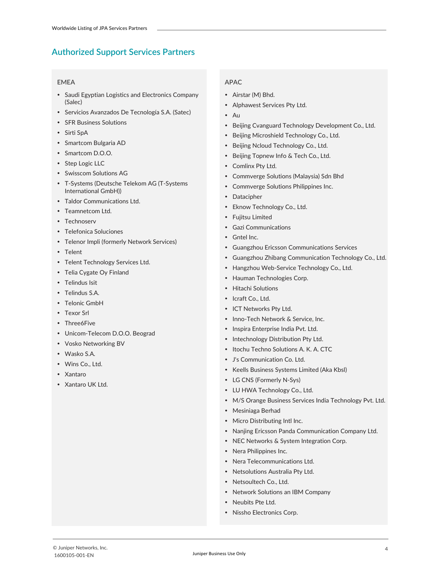#### **EMEA**

- Saudi Egyptian Logistics and Electronics Company (Salec)
- Servicios Avanzados De Tecnología S.A. (Satec)
- SFR Business Solutions
- Sirti SpA
- Smartcom Bulgaria AD
- Smartcom D.O.O.
- Step Logic LLC
- Swisscom Solutions AG
- T-Systems (Deutsche Telekom AG (T-Systems International GmbH))
- Taldor Communications Ltd.
- Teamnetcom Ltd.
- Technoserv
- Telefonica Soluciones
- Telenor Impli (formerly Network Services)
- Telent
- Telent Technology Services Ltd.
- Telia Cygate Oy Finland
- Telindus Isit
- Telindus S.A.
- Telonic GmbH
- Texor Srl
- Three6Five
- Unicom-Telecom D.O.O. Beograd
- Vosko Networking BV
- Wasko S.A.
- Wins Co., Ltd.
- Xantaro
- Xantaro UK Ltd.

- Airstar (M) Bhd.
- Alphawest Services Pty Ltd.
- Au
- Beijing Cvanguard Technology Development Co., Ltd.
- Beijing Microshield Technology Co., Ltd.
- Beijing Ncloud Technology Co., Ltd.
- Beijing Topnew Info & Tech Co., Ltd.
- Comlinx Pty Ltd.
- Commverge Solutions (Malaysia) Sdn Bhd
- Commverge Solutions Philippines Inc.
- Datacipher
- Eknow Technology Co., Ltd.
- Fujitsu Limited
- Gazi Communications
- Gntel Inc.
- Guangzhou Ericsson Communications Services
- Guangzhou Zhibang Communication Technology Co., Ltd.
- Hangzhou Web-Service Technology Co., Ltd.
- Hauman Technologies Corp.
- Hitachi Solutions
- Icraft Co., Ltd.
- ICT Networks Pty Ltd.
- Inno-Tech Network & Service, Inc.
- Inspira Enterprise India Pvt. Ltd.
- Intechnology Distribution Pty Ltd.
- Itochu Techno Solutions A. K. A. CTC
- J's Communication Co. Ltd.
- Keells Business Systems Limited (Aka Kbsl)
- LG CNS (Formerly N-Sys)
- LU HWA Technology Co., Ltd.
- M/S Orange Business Services India Technology Pvt. Ltd.
- Mesiniaga Berhad
- Micro Distributing Intl Inc.
- Nanjing Ericsson Panda Communication Company Ltd.
- NEC Networks & System Integration Corp.
- Nera Philippines Inc.
- Nera Telecommunications Ltd.
- Netsolutions Australia Pty Ltd.
- Netsoultech Co., Ltd.
- Network Solutions an IBM Company
- Neubits Pte Ltd.
- Nissho Electronics Corp.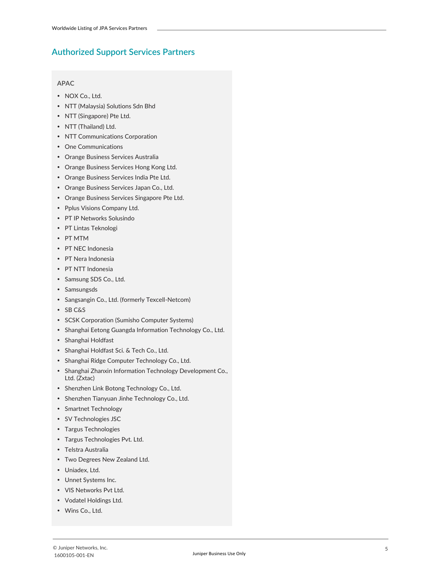- NOX Co., Ltd.
- NTT (Malaysia) Solutions Sdn Bhd
- NTT (Singapore) Pte Ltd.
- NTT (Thailand) Ltd.
- NTT Communications Corporation
- One Communications
- Orange Business Services Australia
- Orange Business Services Hong Kong Ltd.
- Orange Business Services India Pte Ltd.
- Orange Business Services Japan Co., Ltd.
- Orange Business Services Singapore Pte Ltd.
- Pplus Visions Company Ltd.
- PT IP Networks Solusindo
- PT Lintas Teknologi
- PT MTM
- PT NEC Indonesia
- PT Nera Indonesia
- PT NTT Indonesia
- Samsung SDS Co., Ltd.
- Samsungsds
- Sangsangin Co., Ltd. (formerly Texcell-Netcom)
- SB C&S
- SCSK Corporation (Sumisho Computer Systems)
- Shanghai Eetong Guangda Information Technology Co., Ltd.
- Shanghai Holdfast
- Shanghai Holdfast Sci. & Tech Co., Ltd.
- Shanghai Ridge Computer Technology Co., Ltd.
- Shanghai Zhanxin Information Technology Development Co., Ltd. (Zxtac)
- Shenzhen Link Botong Technology Co., Ltd.
- Shenzhen Tianyuan Jinhe Technology Co., Ltd.
- Smartnet Technology
- SV Technologies JSC
- Targus Technologies
- Targus Technologies Pvt. Ltd.
- Telstra Australia
- Two Degrees New Zealand Ltd.
- Uniadex, Ltd.
- Unnet Systems Inc.
- VIS Networks Pvt Ltd.
- Vodatel Holdings Ltd.
- Wins Co., Ltd.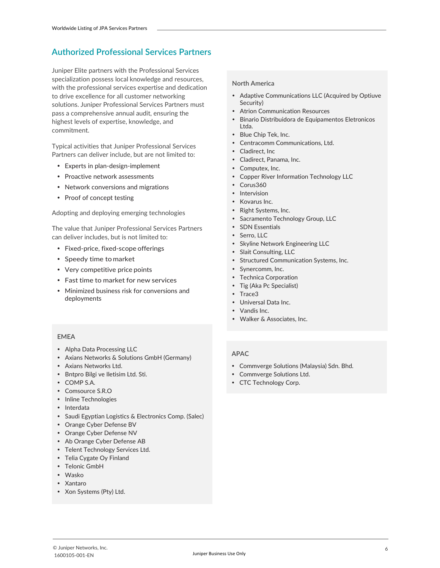### **Authorized Professional Services Partners**

Juniper Elite partners with the Professional Services specialization possess local knowledge and resources, with the professional services expertise and dedication to drive excellence for all customer networking solutions. Juniper Professional Services Partners must pass a comprehensive annual audit, ensuring the highest levels of expertise, knowledge, and commitment.

Typical activities that Juniper Professional Services Partners can deliver include, but are not limited to:

- Experts in plan-design-implement
- Proactive network assessments
- Network conversions and migrations
- Proof of concept testing

Adopting and deploying emerging technologies

The value that Juniper Professional Services Partners can deliver includes, but is not limited to:

- Fixed-price, fixed-scope offerings
- Speedy time to market
- Very competitive price points
- Fast time to market for new services
- Minimized business risk for conversions and deployments

#### **North America**

- Adaptive Communications LLC (Acquired by Optiuve Security)
- Atrion Communication Resources
- Binario Distribuidora de Equipamentos Eletronicos Ltda.
- Blue Chip Tek, Inc.
- Centracomm Communications, Ltd.
- Cladirect, Inc.
- Cladirect, Panama, Inc.
- Computex, Inc.
- Copper River Information Technology LLC
- Corus360
- Intervision
- Kovarus Inc.
- Right Systems, Inc.
- Sacramento Technology Group, LLC
- SDN Essentials
- Serro, LLC
- Skyline Network Engineering LLC
- Slait Consulting, LLC
- Structured Communication Systems, Inc.
- Synercomm, Inc.
- Technica Corporation
- Tig (Aka Pc Specialist)
- Trace3
- Universal Data Inc.
- Vandis Inc.
- Walker & Associates, Inc.

### **EMEA**

- Alpha Data Processing LLC
- Axians Networks & Solutions GmbH (Germany)
- Axians Networks Ltd.
- Bntpro Bilgi ve Iletisim Ltd. Sti.
- COMP S.A.
- Comsource S.R.O
- Inline Technologies
- Interdata
- Saudi Egyptian Logistics & Electronics Comp. (Salec)
- Orange Cyber Defense BV
- Orange Cyber Defense NV
- Ab Orange Cyber Defense AB
- Telent Technology Services Ltd.
- Telia Cygate Oy Finland
- Telonic GmbH
- Wasko
- Xantaro
- Xon Systems (Pty) Ltd.

- Commverge Solutions (Malaysia) Sdn. Bhd.
- Commverge Solutions Ltd.
- CTC Technology Corp.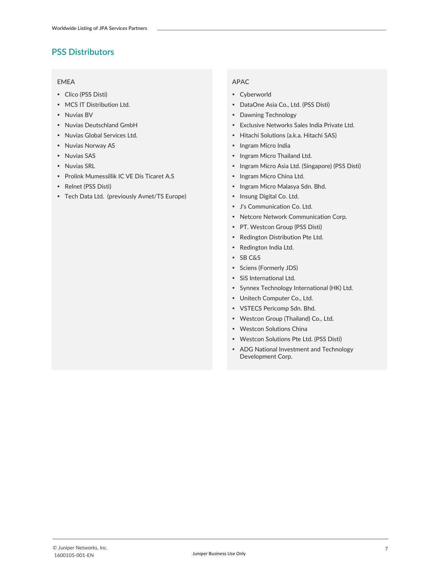### **PSS Distributors**

#### **EMEA**

- Clico (PSS Disti)
- MCS IT Distribution Ltd.
- Nuvias BV
- Nuvias Deutschland GmbH
- Nuvias Global Services Ltd.
- Nuvias Norway AS
- Nuvias SAS
- Nuvias SRL
- Prolink Mumessillik IC VE Dis Ticaret A.S
- Relnet (PSS Disti)
- Tech Data Ltd. (previously Avnet/TS Europe)

- Cyberworld
- DataOne Asia Co., Ltd. (PSS Disti)
- Dawning Technology
- Exclusive Networks Sales India Private Ltd.
- Hitachi Solutions (a.k.a. Hitachi SAS)
- Ingram Micro India
- Ingram Micro Thailand Ltd.
- Ingram Micro Asia Ltd. (Singapore) (PSS Disti)
- Ingram Micro China Ltd.
- Ingram Micro Malasya Sdn. Bhd.
- Insung Digital Co. Ltd.
- J's Communication Co. Ltd.
- Netcore Network Communication Corp.
- PT. Westcon Group (PSS Disti)
- Redington Distribution Pte Ltd.
- Redington India Ltd.
- SB C&S
- Sciens (Formerly JDS)
- SiS International Ltd.
- Synnex Technology International (HK) Ltd.
- Unitech Computer Co., Ltd.
- VSTECS Pericomp Sdn. Bhd.
- Westcon Group (Thailand) Co., Ltd.
- Westcon Solutions China
- Westcon Solutions Pte Ltd. (PSS Disti)
- ADG National Investment and Technology Development Corp.